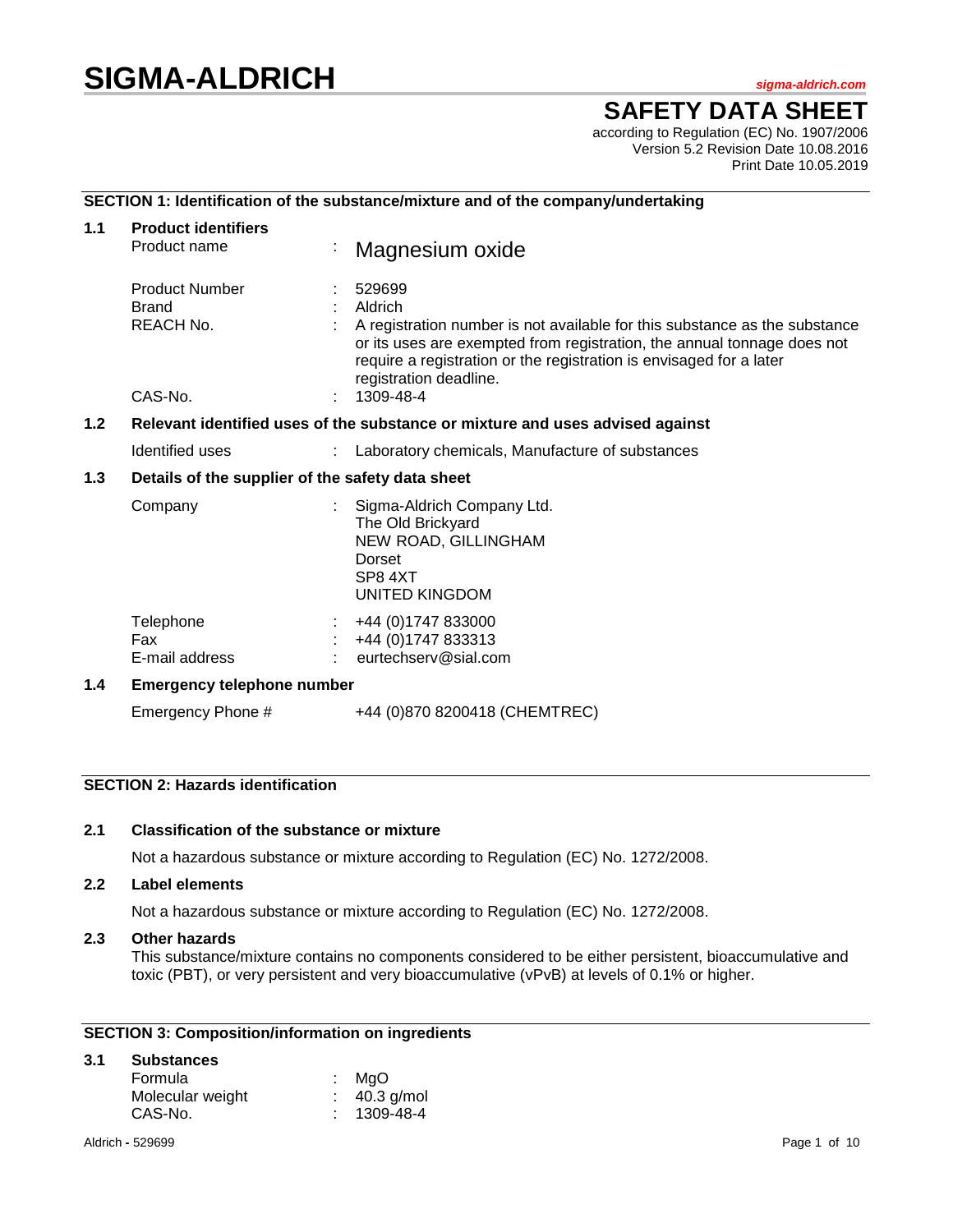# **SIGMA-ALDRICH** *sigma-aldrich.com*

# **SAFETY DATA SHEET**

according to Regulation (EC) No. 1907/2006 Version 5.2 Revision Date 10.08.2016 Print Date 10.05.2019

# **SECTION 1: Identification of the substance/mixture and of the company/undertaking**

| 1.1              | <b>Product identifiers</b><br>Product name                                    | Magnesium oxide                                                                                                                                                                                                                                                             |  |  |  |
|------------------|-------------------------------------------------------------------------------|-----------------------------------------------------------------------------------------------------------------------------------------------------------------------------------------------------------------------------------------------------------------------------|--|--|--|
|                  | <b>Product Number</b><br><b>Brand</b><br>REACH No.                            | 529699<br>Aldrich<br>A registration number is not available for this substance as the substance<br>or its uses are exempted from registration, the annual tonnage does not<br>require a registration or the registration is envisaged for a later<br>registration deadline. |  |  |  |
|                  | CAS-No.                                                                       | 1309-48-4                                                                                                                                                                                                                                                                   |  |  |  |
| 1.2 <sub>2</sub> | Relevant identified uses of the substance or mixture and uses advised against |                                                                                                                                                                                                                                                                             |  |  |  |
|                  | Identified uses                                                               | Laboratory chemicals, Manufacture of substances                                                                                                                                                                                                                             |  |  |  |
| 1.3              | Details of the supplier of the safety data sheet                              |                                                                                                                                                                                                                                                                             |  |  |  |
|                  | Company                                                                       | Sigma-Aldrich Company Ltd.<br>The Old Brickyard<br>NEW ROAD, GILLINGHAM<br>Dorset<br>SP8 4XT<br>UNITED KINGDOM                                                                                                                                                              |  |  |  |
|                  | Telephone<br>Fax<br>E-mail address                                            | +44 (0) 1747 833000<br>+44 (0) 1747 833313<br>eurtechserv@sial.com                                                                                                                                                                                                          |  |  |  |
| 1.4              | <b>Emergency telephone number</b>                                             |                                                                                                                                                                                                                                                                             |  |  |  |
|                  | Emergency Phone #                                                             | +44 (0)870 8200418 (CHEMTREC)                                                                                                                                                                                                                                               |  |  |  |

# **SECTION 2: Hazards identification**

# **2.1 Classification of the substance or mixture**

Not a hazardous substance or mixture according to Regulation (EC) No. 1272/2008.

## **2.2 Label elements**

Not a hazardous substance or mixture according to Regulation (EC) No. 1272/2008.

# **2.3 Other hazards**

This substance/mixture contains no components considered to be either persistent, bioaccumulative and toxic (PBT), or very persistent and very bioaccumulative (vPvB) at levels of 0.1% or higher.

# **SECTION 3: Composition/information on ingredients**

# **3.1 Substances**

| Formula          | : MgO      |
|------------------|------------|
| Molecular weight | 40.3 g/mol |
| CAS-No.          | 1309-48-4  |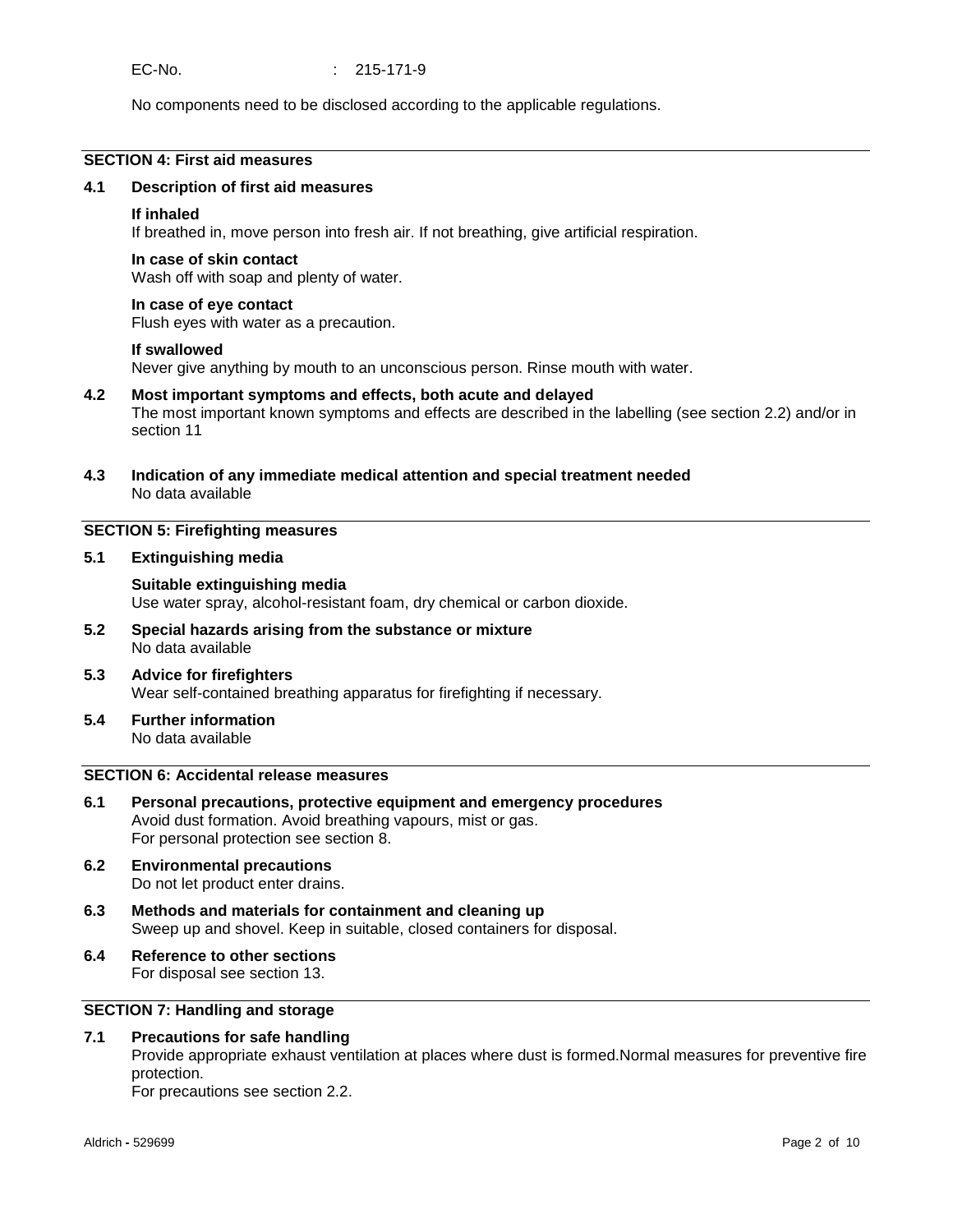No components need to be disclosed according to the applicable regulations.

# **SECTION 4: First aid measures**

#### **4.1 Description of first aid measures**

#### **If inhaled**

If breathed in, move person into fresh air. If not breathing, give artificial respiration.

#### **In case of skin contact**

Wash off with soap and plenty of water.

#### **In case of eye contact**

Flush eyes with water as a precaution.

#### **If swallowed**

Never give anything by mouth to an unconscious person. Rinse mouth with water.

#### **4.2 Most important symptoms and effects, both acute and delayed**

The most important known symptoms and effects are described in the labelling (see section 2.2) and/or in section 11

**4.3 Indication of any immediate medical attention and special treatment needed** No data available

## **SECTION 5: Firefighting measures**

**5.1 Extinguishing media**

# **Suitable extinguishing media**

Use water spray, alcohol-resistant foam, dry chemical or carbon dioxide.

- **5.2 Special hazards arising from the substance or mixture** No data available
- **5.3 Advice for firefighters** Wear self-contained breathing apparatus for firefighting if necessary.
- **5.4 Further information** No data available

# **SECTION 6: Accidental release measures**

- **6.1 Personal precautions, protective equipment and emergency procedures** Avoid dust formation. Avoid breathing vapours, mist or gas. For personal protection see section 8.
- **6.2 Environmental precautions** Do not let product enter drains.
- **6.3 Methods and materials for containment and cleaning up** Sweep up and shovel. Keep in suitable, closed containers for disposal.
- **6.4 Reference to other sections** For disposal see section 13.

# **SECTION 7: Handling and storage**

#### **7.1 Precautions for safe handling**

Provide appropriate exhaust ventilation at places where dust is formed.Normal measures for preventive fire protection.

For precautions see section 2.2.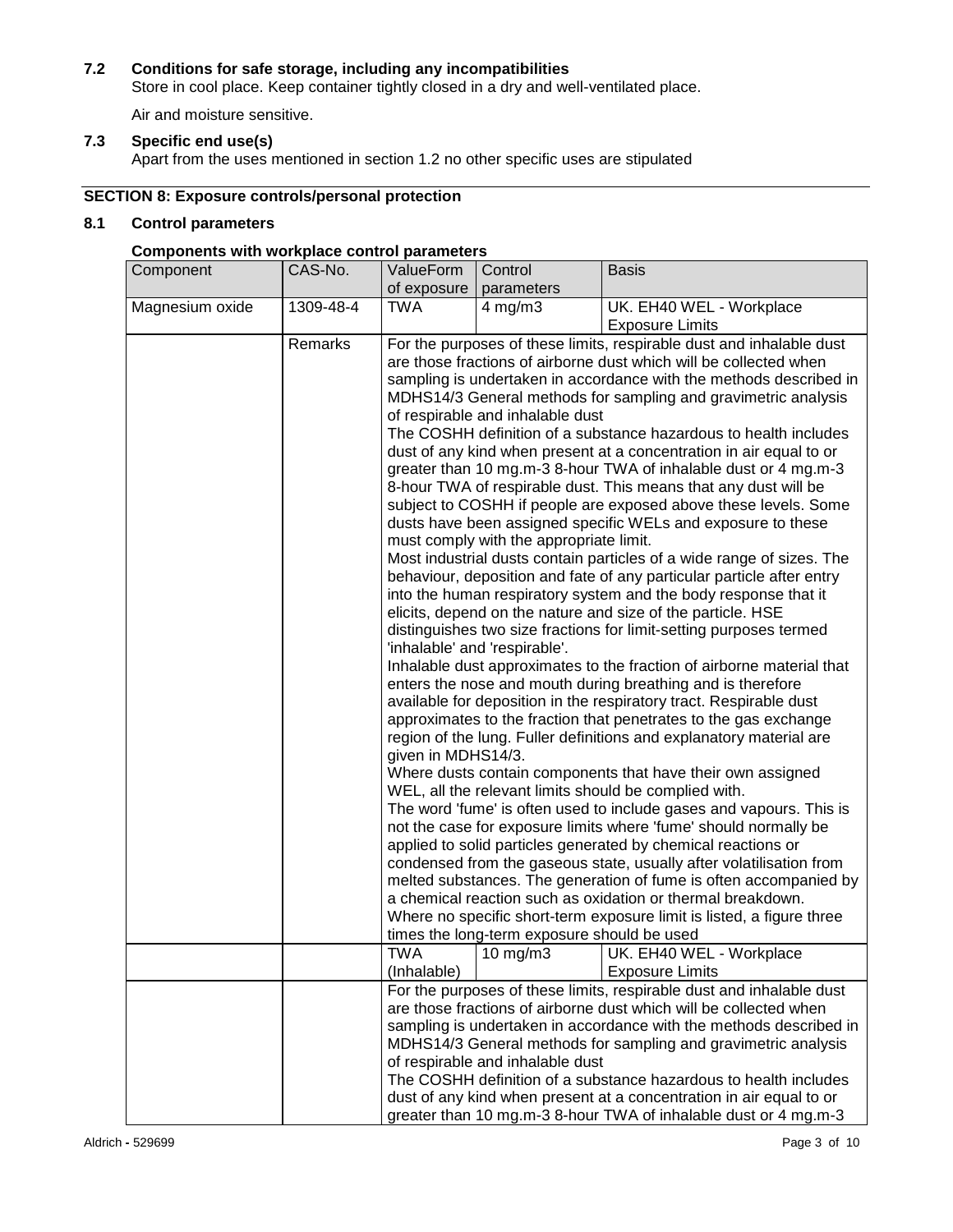# **7.2 Conditions for safe storage, including any incompatibilities**

Store in cool place. Keep container tightly closed in a dry and well-ventilated place.

Air and moisture sensitive.

# **7.3 Specific end use(s)**

Apart from the uses mentioned in section 1.2 no other specific uses are stipulated

# **SECTION 8: Exposure controls/personal protection**

# **8.1 Control parameters**

# **Components with workplace control parameters**

| Component       | CAS-No.   | ValueForm                                                                                                                                                                                                  | Control                                                              | <b>Basis</b>                                                                                                                           |  |
|-----------------|-----------|------------------------------------------------------------------------------------------------------------------------------------------------------------------------------------------------------------|----------------------------------------------------------------------|----------------------------------------------------------------------------------------------------------------------------------------|--|
|                 |           | of exposure                                                                                                                                                                                                | parameters                                                           |                                                                                                                                        |  |
| Magnesium oxide | 1309-48-4 | <b>TWA</b>                                                                                                                                                                                                 | $4$ mg/m $3$                                                         | UK. EH40 WEL - Workplace                                                                                                               |  |
|                 |           |                                                                                                                                                                                                            |                                                                      | <b>Exposure Limits</b>                                                                                                                 |  |
|                 | Remarks   |                                                                                                                                                                                                            | For the purposes of these limits, respirable dust and inhalable dust |                                                                                                                                        |  |
|                 |           | are those fractions of airborne dust which will be collected when                                                                                                                                          |                                                                      |                                                                                                                                        |  |
|                 |           |                                                                                                                                                                                                            |                                                                      | sampling is undertaken in accordance with the methods described in                                                                     |  |
|                 |           |                                                                                                                                                                                                            |                                                                      | MDHS14/3 General methods for sampling and gravimetric analysis                                                                         |  |
|                 |           |                                                                                                                                                                                                            | of respirable and inhalable dust                                     |                                                                                                                                        |  |
|                 |           |                                                                                                                                                                                                            |                                                                      | The COSHH definition of a substance hazardous to health includes                                                                       |  |
|                 |           |                                                                                                                                                                                                            |                                                                      | dust of any kind when present at a concentration in air equal to or<br>greater than 10 mg.m-3 8-hour TWA of inhalable dust or 4 mg.m-3 |  |
|                 |           |                                                                                                                                                                                                            |                                                                      | 8-hour TWA of respirable dust. This means that any dust will be                                                                        |  |
|                 |           |                                                                                                                                                                                                            |                                                                      | subject to COSHH if people are exposed above these levels. Some                                                                        |  |
|                 |           |                                                                                                                                                                                                            |                                                                      | dusts have been assigned specific WELs and exposure to these                                                                           |  |
|                 |           |                                                                                                                                                                                                            | must comply with the appropriate limit.                              |                                                                                                                                        |  |
|                 |           |                                                                                                                                                                                                            |                                                                      | Most industrial dusts contain particles of a wide range of sizes. The                                                                  |  |
|                 |           |                                                                                                                                                                                                            |                                                                      | behaviour, deposition and fate of any particular particle after entry                                                                  |  |
|                 |           |                                                                                                                                                                                                            |                                                                      | into the human respiratory system and the body response that it                                                                        |  |
|                 |           |                                                                                                                                                                                                            |                                                                      | elicits, depend on the nature and size of the particle. HSE                                                                            |  |
|                 |           | distinguishes two size fractions for limit-setting purposes termed                                                                                                                                         |                                                                      |                                                                                                                                        |  |
|                 |           | 'inhalable' and 'respirable'.<br>Inhalable dust approximates to the fraction of airborne material that                                                                                                     |                                                                      |                                                                                                                                        |  |
|                 |           |                                                                                                                                                                                                            |                                                                      |                                                                                                                                        |  |
|                 |           | enters the nose and mouth during breathing and is therefore                                                                                                                                                |                                                                      |                                                                                                                                        |  |
|                 |           | available for deposition in the respiratory tract. Respirable dust<br>approximates to the fraction that penetrates to the gas exchange                                                                     |                                                                      |                                                                                                                                        |  |
|                 |           | region of the lung. Fuller definitions and explanatory material are                                                                                                                                        |                                                                      |                                                                                                                                        |  |
|                 |           | given in MDHS14/3.                                                                                                                                                                                         |                                                                      |                                                                                                                                        |  |
|                 |           | Where dusts contain components that have their own assigned                                                                                                                                                |                                                                      |                                                                                                                                        |  |
|                 |           | WEL, all the relevant limits should be complied with.                                                                                                                                                      |                                                                      |                                                                                                                                        |  |
|                 |           | The word 'fume' is often used to include gases and vapours. This is                                                                                                                                        |                                                                      |                                                                                                                                        |  |
|                 |           | not the case for exposure limits where 'fume' should normally be                                                                                                                                           |                                                                      |                                                                                                                                        |  |
|                 |           | applied to solid particles generated by chemical reactions or                                                                                                                                              |                                                                      |                                                                                                                                        |  |
|                 |           | condensed from the gaseous state, usually after volatilisation from                                                                                                                                        |                                                                      |                                                                                                                                        |  |
|                 |           | melted substances. The generation of fume is often accompanied by                                                                                                                                          |                                                                      |                                                                                                                                        |  |
|                 |           | a chemical reaction such as oxidation or thermal breakdown.                                                                                                                                                |                                                                      |                                                                                                                                        |  |
|                 |           | Where no specific short-term exposure limit is listed, a figure three                                                                                                                                      |                                                                      |                                                                                                                                        |  |
|                 |           | times the long-term exposure should be used<br>TWA                                                                                                                                                         |                                                                      |                                                                                                                                        |  |
|                 |           | (Inhalable)                                                                                                                                                                                                | $10 \text{ mg/m}$ 3                                                  | UK. EH40 WEL - Workplace<br><b>Exposure Limits</b>                                                                                     |  |
|                 |           |                                                                                                                                                                                                            |                                                                      |                                                                                                                                        |  |
|                 |           | For the purposes of these limits, respirable dust and inhalable dust<br>are those fractions of airborne dust which will be collected when                                                                  |                                                                      |                                                                                                                                        |  |
|                 |           |                                                                                                                                                                                                            |                                                                      | sampling is undertaken in accordance with the methods described in                                                                     |  |
|                 |           |                                                                                                                                                                                                            |                                                                      | MDHS14/3 General methods for sampling and gravimetric analysis                                                                         |  |
|                 |           | of respirable and inhalable dust                                                                                                                                                                           |                                                                      |                                                                                                                                        |  |
|                 |           | The COSHH definition of a substance hazardous to health includes<br>dust of any kind when present at a concentration in air equal to or<br>greater than 10 mg.m-3 8-hour TWA of inhalable dust or 4 mg.m-3 |                                                                      |                                                                                                                                        |  |
|                 |           |                                                                                                                                                                                                            |                                                                      |                                                                                                                                        |  |
|                 |           |                                                                                                                                                                                                            |                                                                      |                                                                                                                                        |  |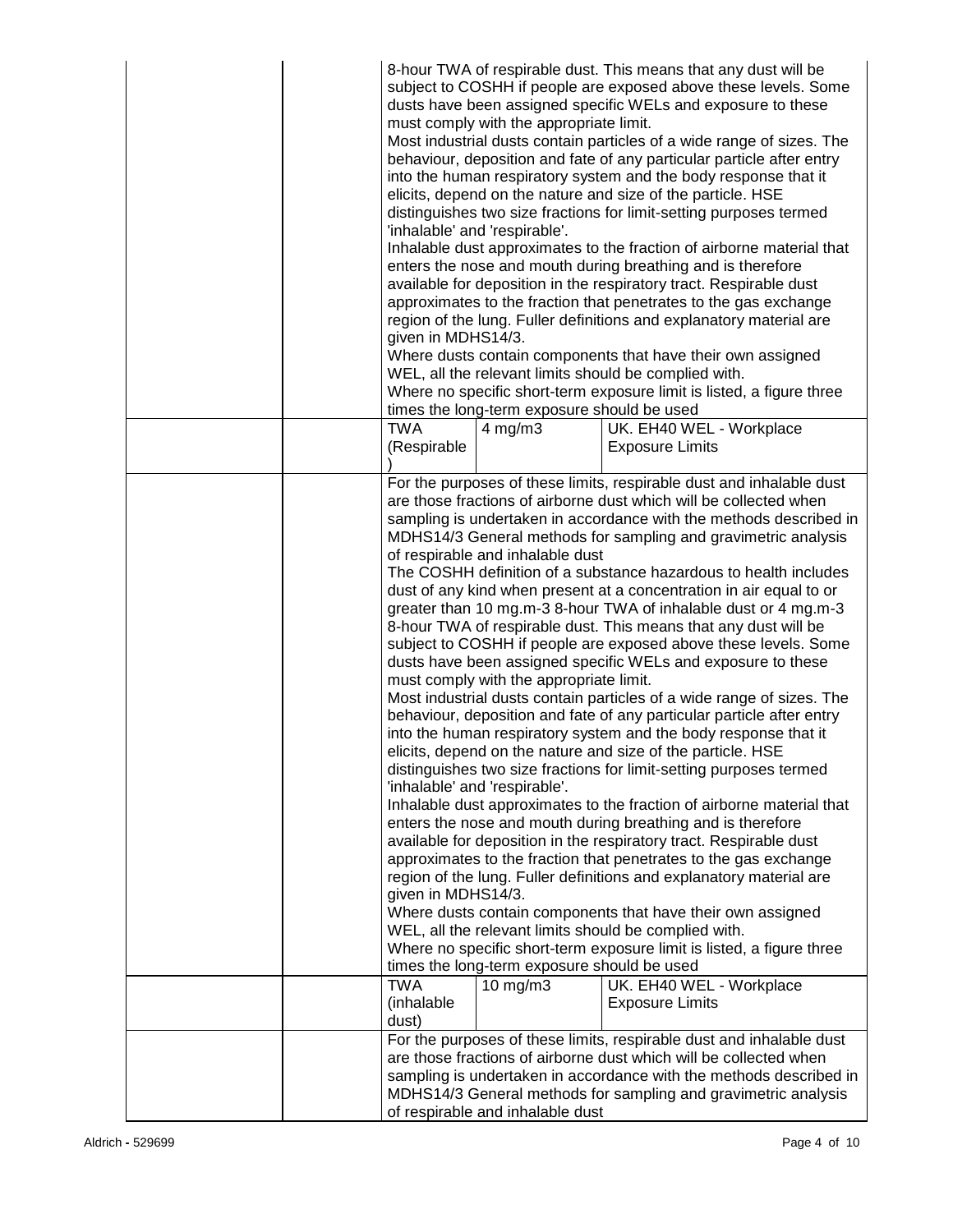|  | 8-hour TWA of respirable dust. This means that any dust will be<br>subject to COSHH if people are exposed above these levels. Some<br>dusts have been assigned specific WELs and exposure to these<br>must comply with the appropriate limit.<br>Most industrial dusts contain particles of a wide range of sizes. The<br>behaviour, deposition and fate of any particular particle after entry<br>into the human respiratory system and the body response that it<br>elicits, depend on the nature and size of the particle. HSE<br>distinguishes two size fractions for limit-setting purposes termed<br>'inhalable' and 'respirable'.<br>Inhalable dust approximates to the fraction of airborne material that<br>enters the nose and mouth during breathing and is therefore<br>available for deposition in the respiratory tract. Respirable dust<br>approximates to the fraction that penetrates to the gas exchange<br>region of the lung. Fuller definitions and explanatory material are<br>given in MDHS14/3.<br>Where dusts contain components that have their own assigned<br>WEL, all the relevant limits should be complied with.<br>Where no specific short-term exposure limit is listed, a figure three<br>times the long-term exposure should be used |                                                                                                                                                                              |                                                                                                                                                                                                                                                                                                                                                                                                                                                                                                                                                                                                                                                                                                                                                                                                                                                                                                                                                                                                                                                                                                                                                                                                                                                                                                                                                                                                                                                                                                                                                                                                                           |  |
|--|-------------------------------------------------------------------------------------------------------------------------------------------------------------------------------------------------------------------------------------------------------------------------------------------------------------------------------------------------------------------------------------------------------------------------------------------------------------------------------------------------------------------------------------------------------------------------------------------------------------------------------------------------------------------------------------------------------------------------------------------------------------------------------------------------------------------------------------------------------------------------------------------------------------------------------------------------------------------------------------------------------------------------------------------------------------------------------------------------------------------------------------------------------------------------------------------------------------------------------------------------------------------------|------------------------------------------------------------------------------------------------------------------------------------------------------------------------------|---------------------------------------------------------------------------------------------------------------------------------------------------------------------------------------------------------------------------------------------------------------------------------------------------------------------------------------------------------------------------------------------------------------------------------------------------------------------------------------------------------------------------------------------------------------------------------------------------------------------------------------------------------------------------------------------------------------------------------------------------------------------------------------------------------------------------------------------------------------------------------------------------------------------------------------------------------------------------------------------------------------------------------------------------------------------------------------------------------------------------------------------------------------------------------------------------------------------------------------------------------------------------------------------------------------------------------------------------------------------------------------------------------------------------------------------------------------------------------------------------------------------------------------------------------------------------------------------------------------------------|--|
|  | TWA<br>(Respirable                                                                                                                                                                                                                                                                                                                                                                                                                                                                                                                                                                                                                                                                                                                                                                                                                                                                                                                                                                                                                                                                                                                                                                                                                                                      | $4 \text{ mg/m}$ 3                                                                                                                                                           | UK. EH40 WEL - Workplace<br><b>Exposure Limits</b>                                                                                                                                                                                                                                                                                                                                                                                                                                                                                                                                                                                                                                                                                                                                                                                                                                                                                                                                                                                                                                                                                                                                                                                                                                                                                                                                                                                                                                                                                                                                                                        |  |
|  | given in MDHS14/3.<br><b>TWA</b>                                                                                                                                                                                                                                                                                                                                                                                                                                                                                                                                                                                                                                                                                                                                                                                                                                                                                                                                                                                                                                                                                                                                                                                                                                        | of respirable and inhalable dust<br>must comply with the appropriate limit.<br>'inhalable' and 'respirable'.<br>times the long-term exposure should be used<br>$10$ mg/m $3$ | For the purposes of these limits, respirable dust and inhalable dust<br>are those fractions of airborne dust which will be collected when<br>sampling is undertaken in accordance with the methods described in<br>MDHS14/3 General methods for sampling and gravimetric analysis<br>The COSHH definition of a substance hazardous to health includes<br>dust of any kind when present at a concentration in air equal to or<br>greater than 10 mg.m-3 8-hour TWA of inhalable dust or 4 mg.m-3<br>8-hour TWA of respirable dust. This means that any dust will be<br>subject to COSHH if people are exposed above these levels. Some<br>dusts have been assigned specific WELs and exposure to these<br>Most industrial dusts contain particles of a wide range of sizes. The<br>behaviour, deposition and fate of any particular particle after entry<br>into the human respiratory system and the body response that it<br>elicits, depend on the nature and size of the particle. HSE<br>distinguishes two size fractions for limit-setting purposes termed<br>Inhalable dust approximates to the fraction of airborne material that<br>enters the nose and mouth during breathing and is therefore<br>available for deposition in the respiratory tract. Respirable dust<br>approximates to the fraction that penetrates to the gas exchange<br>region of the lung. Fuller definitions and explanatory material are<br>Where dusts contain components that have their own assigned<br>WEL, all the relevant limits should be complied with.<br>Where no specific short-term exposure limit is listed, a figure three |  |
|  | (inhalable<br>dust)                                                                                                                                                                                                                                                                                                                                                                                                                                                                                                                                                                                                                                                                                                                                                                                                                                                                                                                                                                                                                                                                                                                                                                                                                                                     |                                                                                                                                                                              | UK. EH40 WEL - Workplace<br><b>Exposure Limits</b>                                                                                                                                                                                                                                                                                                                                                                                                                                                                                                                                                                                                                                                                                                                                                                                                                                                                                                                                                                                                                                                                                                                                                                                                                                                                                                                                                                                                                                                                                                                                                                        |  |
|  | For the purposes of these limits, respirable dust and inhalable dust<br>are those fractions of airborne dust which will be collected when<br>sampling is undertaken in accordance with the methods described in<br>MDHS14/3 General methods for sampling and gravimetric analysis<br>of respirable and inhalable dust                                                                                                                                                                                                                                                                                                                                                                                                                                                                                                                                                                                                                                                                                                                                                                                                                                                                                                                                                   |                                                                                                                                                                              |                                                                                                                                                                                                                                                                                                                                                                                                                                                                                                                                                                                                                                                                                                                                                                                                                                                                                                                                                                                                                                                                                                                                                                                                                                                                                                                                                                                                                                                                                                                                                                                                                           |  |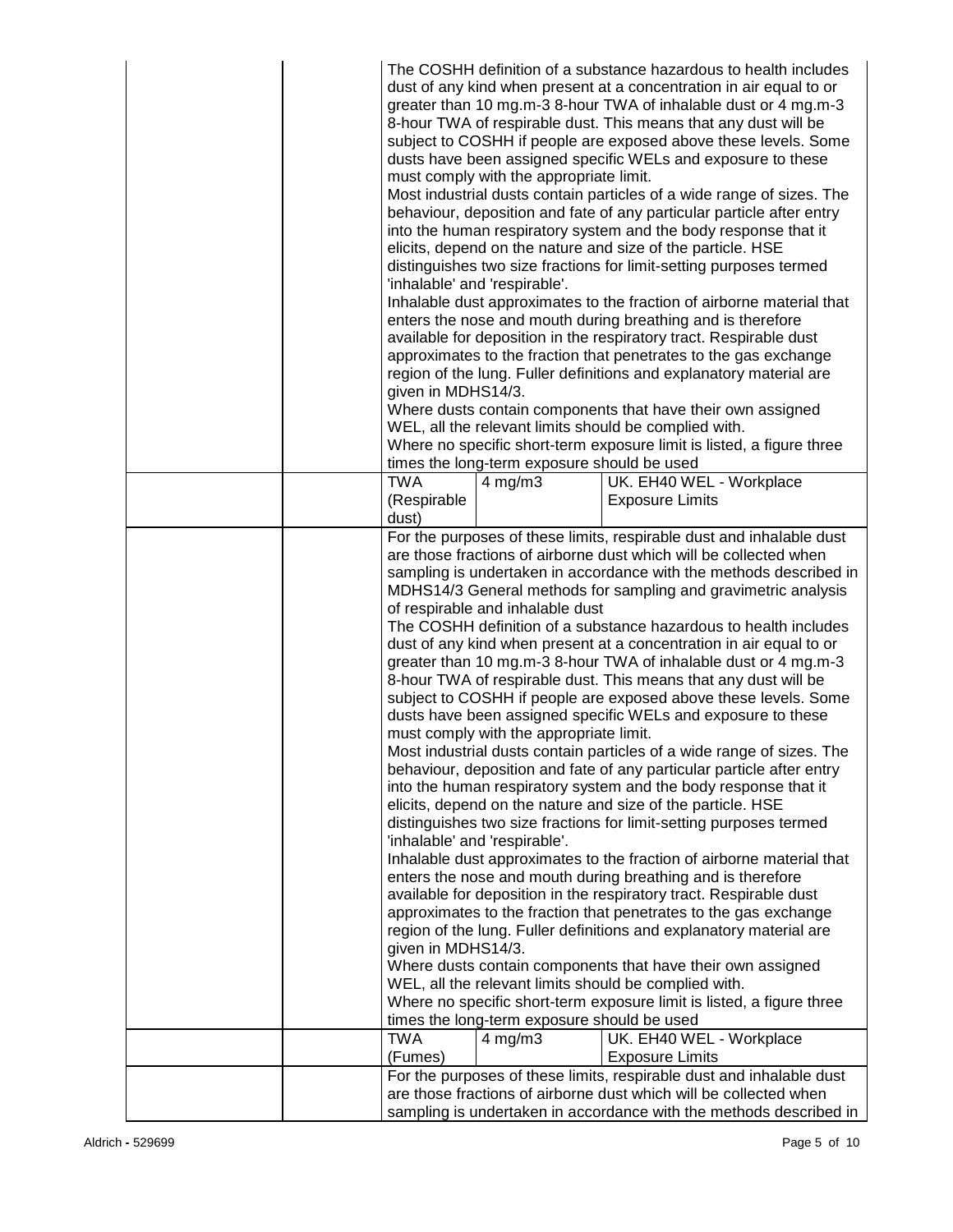|  | The COSHH definition of a substance hazardous to health includes<br>dust of any kind when present at a concentration in air equal to or<br>greater than 10 mg.m-3 8-hour TWA of inhalable dust or 4 mg.m-3<br>8-hour TWA of respirable dust. This means that any dust will be<br>subject to COSHH if people are exposed above these levels. Some<br>dusts have been assigned specific WELs and exposure to these<br>must comply with the appropriate limit.<br>Most industrial dusts contain particles of a wide range of sizes. The<br>behaviour, deposition and fate of any particular particle after entry<br>into the human respiratory system and the body response that it<br>elicits, depend on the nature and size of the particle. HSE<br>distinguishes two size fractions for limit-setting purposes termed<br>'inhalable' and 'respirable'.<br>Inhalable dust approximates to the fraction of airborne material that |                                             |                                                                                                                                          |  |
|--|---------------------------------------------------------------------------------------------------------------------------------------------------------------------------------------------------------------------------------------------------------------------------------------------------------------------------------------------------------------------------------------------------------------------------------------------------------------------------------------------------------------------------------------------------------------------------------------------------------------------------------------------------------------------------------------------------------------------------------------------------------------------------------------------------------------------------------------------------------------------------------------------------------------------------------|---------------------------------------------|------------------------------------------------------------------------------------------------------------------------------------------|--|
|  |                                                                                                                                                                                                                                                                                                                                                                                                                                                                                                                                                                                                                                                                                                                                                                                                                                                                                                                                 |                                             | enters the nose and mouth during breathing and is therefore<br>available for deposition in the respiratory tract. Respirable dust        |  |
|  |                                                                                                                                                                                                                                                                                                                                                                                                                                                                                                                                                                                                                                                                                                                                                                                                                                                                                                                                 |                                             | approximates to the fraction that penetrates to the gas exchange                                                                         |  |
|  |                                                                                                                                                                                                                                                                                                                                                                                                                                                                                                                                                                                                                                                                                                                                                                                                                                                                                                                                 |                                             | region of the lung. Fuller definitions and explanatory material are                                                                      |  |
|  | given in MDHS14/3.                                                                                                                                                                                                                                                                                                                                                                                                                                                                                                                                                                                                                                                                                                                                                                                                                                                                                                              |                                             |                                                                                                                                          |  |
|  |                                                                                                                                                                                                                                                                                                                                                                                                                                                                                                                                                                                                                                                                                                                                                                                                                                                                                                                                 |                                             | Where dusts contain components that have their own assigned                                                                              |  |
|  |                                                                                                                                                                                                                                                                                                                                                                                                                                                                                                                                                                                                                                                                                                                                                                                                                                                                                                                                 |                                             | WEL, all the relevant limits should be complied with.                                                                                    |  |
|  |                                                                                                                                                                                                                                                                                                                                                                                                                                                                                                                                                                                                                                                                                                                                                                                                                                                                                                                                 | times the long-term exposure should be used | Where no specific short-term exposure limit is listed, a figure three                                                                    |  |
|  | <b>TWA</b>                                                                                                                                                                                                                                                                                                                                                                                                                                                                                                                                                                                                                                                                                                                                                                                                                                                                                                                      | $4$ mg/m $3$                                | UK. EH40 WEL - Workplace                                                                                                                 |  |
|  | (Respirable                                                                                                                                                                                                                                                                                                                                                                                                                                                                                                                                                                                                                                                                                                                                                                                                                                                                                                                     |                                             | <b>Exposure Limits</b>                                                                                                                   |  |
|  | dust)                                                                                                                                                                                                                                                                                                                                                                                                                                                                                                                                                                                                                                                                                                                                                                                                                                                                                                                           |                                             |                                                                                                                                          |  |
|  |                                                                                                                                                                                                                                                                                                                                                                                                                                                                                                                                                                                                                                                                                                                                                                                                                                                                                                                                 |                                             | For the purposes of these limits, respirable dust and inhalable dust                                                                     |  |
|  |                                                                                                                                                                                                                                                                                                                                                                                                                                                                                                                                                                                                                                                                                                                                                                                                                                                                                                                                 |                                             | are those fractions of airborne dust which will be collected when<br>sampling is undertaken in accordance with the methods described in  |  |
|  |                                                                                                                                                                                                                                                                                                                                                                                                                                                                                                                                                                                                                                                                                                                                                                                                                                                                                                                                 |                                             |                                                                                                                                          |  |
|  | MDHS14/3 General methods for sampling and gravimetric analysis<br>of respirable and inhalable dust                                                                                                                                                                                                                                                                                                                                                                                                                                                                                                                                                                                                                                                                                                                                                                                                                              |                                             |                                                                                                                                          |  |
|  | The COSHH definition of a substance hazardous to health includes                                                                                                                                                                                                                                                                                                                                                                                                                                                                                                                                                                                                                                                                                                                                                                                                                                                                |                                             |                                                                                                                                          |  |
|  | dust of any kind when present at a concentration in air equal to or                                                                                                                                                                                                                                                                                                                                                                                                                                                                                                                                                                                                                                                                                                                                                                                                                                                             |                                             |                                                                                                                                          |  |
|  | greater than 10 mg.m-3 8-hour TWA of inhalable dust or 4 mg.m-3<br>8-hour TWA of respirable dust. This means that any dust will be                                                                                                                                                                                                                                                                                                                                                                                                                                                                                                                                                                                                                                                                                                                                                                                              |                                             |                                                                                                                                          |  |
|  |                                                                                                                                                                                                                                                                                                                                                                                                                                                                                                                                                                                                                                                                                                                                                                                                                                                                                                                                 |                                             | subject to COSHH if people are exposed above these levels. Some                                                                          |  |
|  |                                                                                                                                                                                                                                                                                                                                                                                                                                                                                                                                                                                                                                                                                                                                                                                                                                                                                                                                 |                                             | dusts have been assigned specific WELs and exposure to these                                                                             |  |
|  |                                                                                                                                                                                                                                                                                                                                                                                                                                                                                                                                                                                                                                                                                                                                                                                                                                                                                                                                 | must comply with the appropriate limit.     |                                                                                                                                          |  |
|  |                                                                                                                                                                                                                                                                                                                                                                                                                                                                                                                                                                                                                                                                                                                                                                                                                                                                                                                                 |                                             | Most industrial dusts contain particles of a wide range of sizes. The                                                                    |  |
|  |                                                                                                                                                                                                                                                                                                                                                                                                                                                                                                                                                                                                                                                                                                                                                                                                                                                                                                                                 |                                             | behaviour, deposition and fate of any particular particle after entry<br>into the human respiratory system and the body response that it |  |
|  |                                                                                                                                                                                                                                                                                                                                                                                                                                                                                                                                                                                                                                                                                                                                                                                                                                                                                                                                 |                                             | elicits, depend on the nature and size of the particle. HSE                                                                              |  |
|  |                                                                                                                                                                                                                                                                                                                                                                                                                                                                                                                                                                                                                                                                                                                                                                                                                                                                                                                                 |                                             | distinguishes two size fractions for limit-setting purposes termed                                                                       |  |
|  |                                                                                                                                                                                                                                                                                                                                                                                                                                                                                                                                                                                                                                                                                                                                                                                                                                                                                                                                 | 'inhalable' and 'respirable'.               |                                                                                                                                          |  |
|  |                                                                                                                                                                                                                                                                                                                                                                                                                                                                                                                                                                                                                                                                                                                                                                                                                                                                                                                                 |                                             | Inhalable dust approximates to the fraction of airborne material that                                                                    |  |
|  |                                                                                                                                                                                                                                                                                                                                                                                                                                                                                                                                                                                                                                                                                                                                                                                                                                                                                                                                 |                                             | enters the nose and mouth during breathing and is therefore<br>available for deposition in the respiratory tract. Respirable dust        |  |
|  |                                                                                                                                                                                                                                                                                                                                                                                                                                                                                                                                                                                                                                                                                                                                                                                                                                                                                                                                 |                                             | approximates to the fraction that penetrates to the gas exchange                                                                         |  |
|  |                                                                                                                                                                                                                                                                                                                                                                                                                                                                                                                                                                                                                                                                                                                                                                                                                                                                                                                                 |                                             | region of the lung. Fuller definitions and explanatory material are                                                                      |  |
|  | given in MDHS14/3.                                                                                                                                                                                                                                                                                                                                                                                                                                                                                                                                                                                                                                                                                                                                                                                                                                                                                                              |                                             |                                                                                                                                          |  |
|  | Where dusts contain components that have their own assigned<br>WEL, all the relevant limits should be complied with.                                                                                                                                                                                                                                                                                                                                                                                                                                                                                                                                                                                                                                                                                                                                                                                                            |                                             |                                                                                                                                          |  |
|  |                                                                                                                                                                                                                                                                                                                                                                                                                                                                                                                                                                                                                                                                                                                                                                                                                                                                                                                                 |                                             | Where no specific short-term exposure limit is listed, a figure three                                                                    |  |
|  |                                                                                                                                                                                                                                                                                                                                                                                                                                                                                                                                                                                                                                                                                                                                                                                                                                                                                                                                 | times the long-term exposure should be used |                                                                                                                                          |  |
|  | <b>TWA</b>                                                                                                                                                                                                                                                                                                                                                                                                                                                                                                                                                                                                                                                                                                                                                                                                                                                                                                                      | $4$ mg/m $3$                                | UK. EH40 WEL - Workplace                                                                                                                 |  |
|  | (Fumes)                                                                                                                                                                                                                                                                                                                                                                                                                                                                                                                                                                                                                                                                                                                                                                                                                                                                                                                         |                                             | <b>Exposure Limits</b>                                                                                                                   |  |
|  |                                                                                                                                                                                                                                                                                                                                                                                                                                                                                                                                                                                                                                                                                                                                                                                                                                                                                                                                 |                                             | For the purposes of these limits, respirable dust and inhalable dust                                                                     |  |
|  |                                                                                                                                                                                                                                                                                                                                                                                                                                                                                                                                                                                                                                                                                                                                                                                                                                                                                                                                 |                                             | are those fractions of airborne dust which will be collected when                                                                        |  |
|  | sampling is undertaken in accordance with the methods described in                                                                                                                                                                                                                                                                                                                                                                                                                                                                                                                                                                                                                                                                                                                                                                                                                                                              |                                             |                                                                                                                                          |  |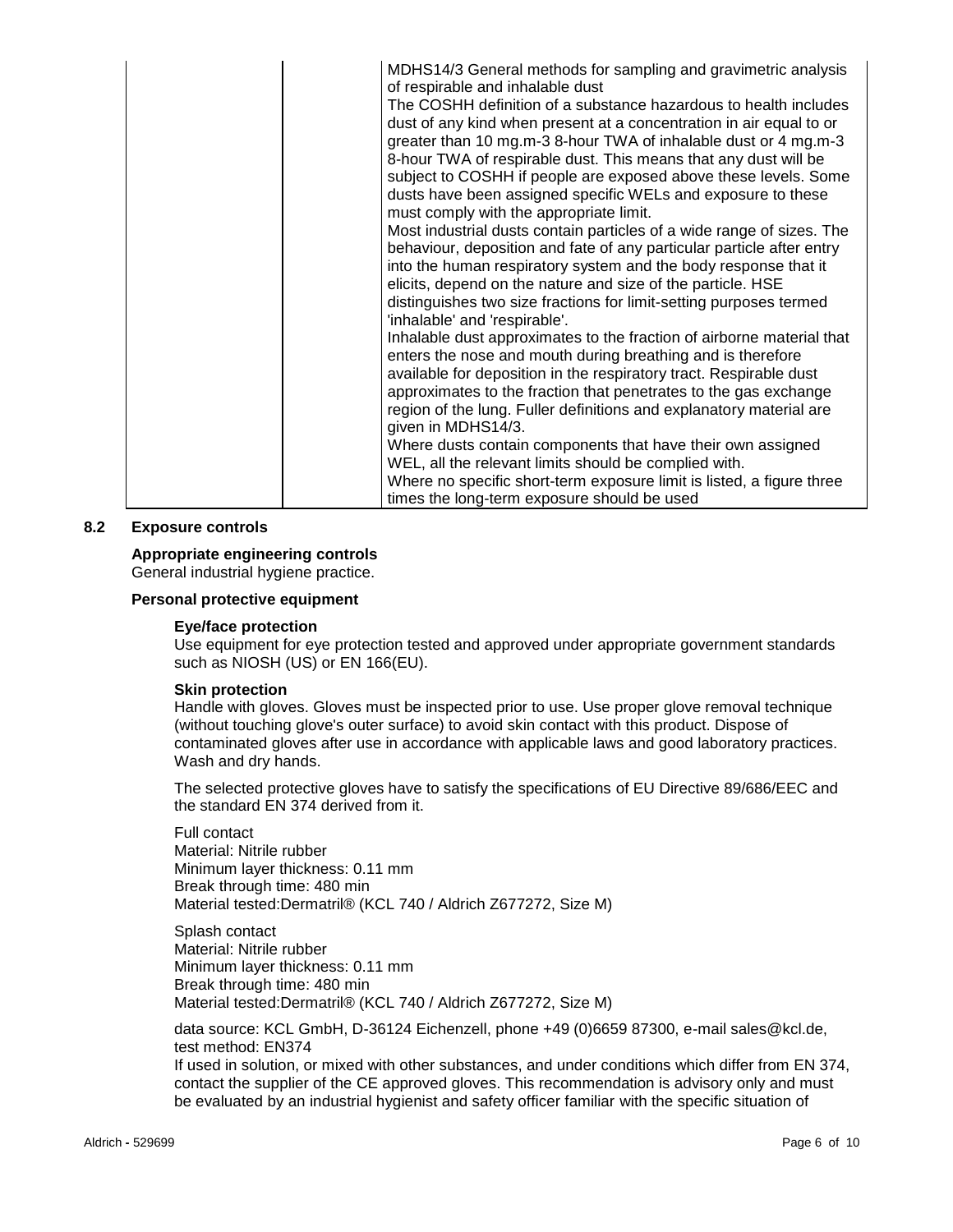| MDHS14/3 General methods for sampling and gravimetric analysis<br>of respirable and inhalable dust                                                                                                                                                                                                                                                                                                                                                          |
|-------------------------------------------------------------------------------------------------------------------------------------------------------------------------------------------------------------------------------------------------------------------------------------------------------------------------------------------------------------------------------------------------------------------------------------------------------------|
| The COSHH definition of a substance hazardous to health includes<br>dust of any kind when present at a concentration in air equal to or<br>greater than 10 mg.m-3 8-hour TWA of inhalable dust or 4 mg.m-3<br>8-hour TWA of respirable dust. This means that any dust will be<br>subject to COSHH if people are exposed above these levels. Some<br>dusts have been assigned specific WELs and exposure to these<br>must comply with the appropriate limit. |
| Most industrial dusts contain particles of a wide range of sizes. The<br>behaviour, deposition and fate of any particular particle after entry<br>into the human respiratory system and the body response that it<br>elicits, depend on the nature and size of the particle. HSE<br>distinguishes two size fractions for limit-setting purposes termed<br>'inhalable' and 'respirable'.                                                                     |
| Inhalable dust approximates to the fraction of airborne material that<br>enters the nose and mouth during breathing and is therefore<br>available for deposition in the respiratory tract. Respirable dust<br>approximates to the fraction that penetrates to the gas exchange<br>region of the lung. Fuller definitions and explanatory material are<br>given in MDHS14/3.                                                                                 |
| Where dusts contain components that have their own assigned<br>WEL, all the relevant limits should be complied with.<br>Where no specific short-term exposure limit is listed, a figure three<br>times the long-term exposure should be used                                                                                                                                                                                                                |

# **8.2 Exposure controls**

# **Appropriate engineering controls**

General industrial hygiene practice.

#### **Personal protective equipment**

#### **Eye/face protection**

Use equipment for eye protection tested and approved under appropriate government standards such as NIOSH (US) or EN 166(EU).

## **Skin protection**

Handle with gloves. Gloves must be inspected prior to use. Use proper glove removal technique (without touching glove's outer surface) to avoid skin contact with this product. Dispose of contaminated gloves after use in accordance with applicable laws and good laboratory practices. Wash and dry hands.

The selected protective gloves have to satisfy the specifications of EU Directive 89/686/EEC and the standard EN 374 derived from it.

Full contact Material: Nitrile rubber Minimum layer thickness: 0.11 mm Break through time: 480 min Material tested:Dermatril® (KCL 740 / Aldrich Z677272, Size M)

Splash contact Material: Nitrile rubber Minimum layer thickness: 0.11 mm Break through time: 480 min Material tested:Dermatril® (KCL 740 / Aldrich Z677272, Size M)

data source: KCL GmbH, D-36124 Eichenzell, phone +49 (0)6659 87300, e-mail sales@kcl.de, test method: EN374

If used in solution, or mixed with other substances, and under conditions which differ from EN 374, contact the supplier of the CE approved gloves. This recommendation is advisory only and must be evaluated by an industrial hygienist and safety officer familiar with the specific situation of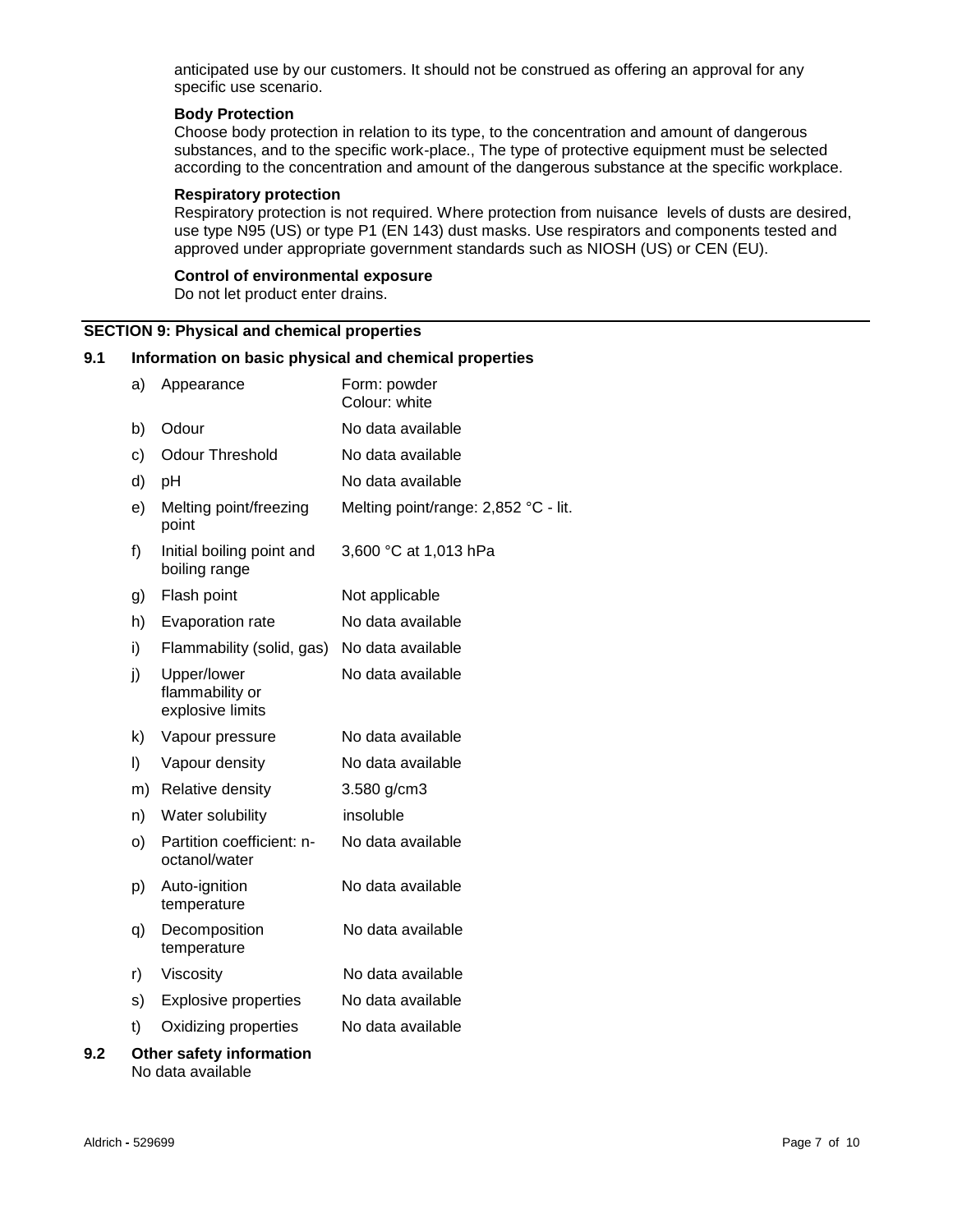anticipated use by our customers. It should not be construed as offering an approval for any specific use scenario.

## **Body Protection**

Choose body protection in relation to its type, to the concentration and amount of dangerous substances, and to the specific work-place., The type of protective equipment must be selected according to the concentration and amount of the dangerous substance at the specific workplace.

## **Respiratory protection**

Respiratory protection is not required. Where protection from nuisance levels of dusts are desired, use type N95 (US) or type P1 (EN 143) dust masks. Use respirators and components tested and approved under appropriate government standards such as NIOSH (US) or CEN (EU).

## **Control of environmental exposure**

Do not let product enter drains.

# **SECTION 9: Physical and chemical properties**

# **9.1 Information on basic physical and chemical properties**

|     | a) | Appearance                                         | Form: powder<br>Colour: white        |
|-----|----|----------------------------------------------------|--------------------------------------|
|     | b) | Odour                                              | No data available                    |
|     | c) | <b>Odour Threshold</b>                             | No data available                    |
|     | d) | pH                                                 | No data available                    |
|     | e) | Melting point/freezing<br>point                    | Melting point/range: 2,852 °C - lit. |
|     | f) | Initial boiling point and<br>boiling range         | 3,600 °C at 1,013 hPa                |
|     | g) | Flash point                                        | Not applicable                       |
|     | h) | Evaporation rate                                   | No data available                    |
|     | i) | Flammability (solid, gas)                          | No data available                    |
|     | j) | Upper/lower<br>flammability or<br>explosive limits | No data available                    |
|     | k) | Vapour pressure                                    | No data available                    |
|     | I) | Vapour density                                     | No data available                    |
|     | m) | Relative density                                   | 3.580 g/cm3                          |
|     | n) | Water solubility                                   | insoluble                            |
|     | O) | Partition coefficient: n-<br>octanol/water         | No data available                    |
|     | p) | Auto-ignition<br>temperature                       | No data available                    |
|     | q) | Decomposition<br>temperature                       | No data available                    |
|     | r) | Viscosity                                          | No data available                    |
|     | s) | <b>Explosive properties</b>                        | No data available                    |
|     | t) | Oxidizing properties                               | No data available                    |
| 9.2 |    | Other safety information<br>No data available      |                                      |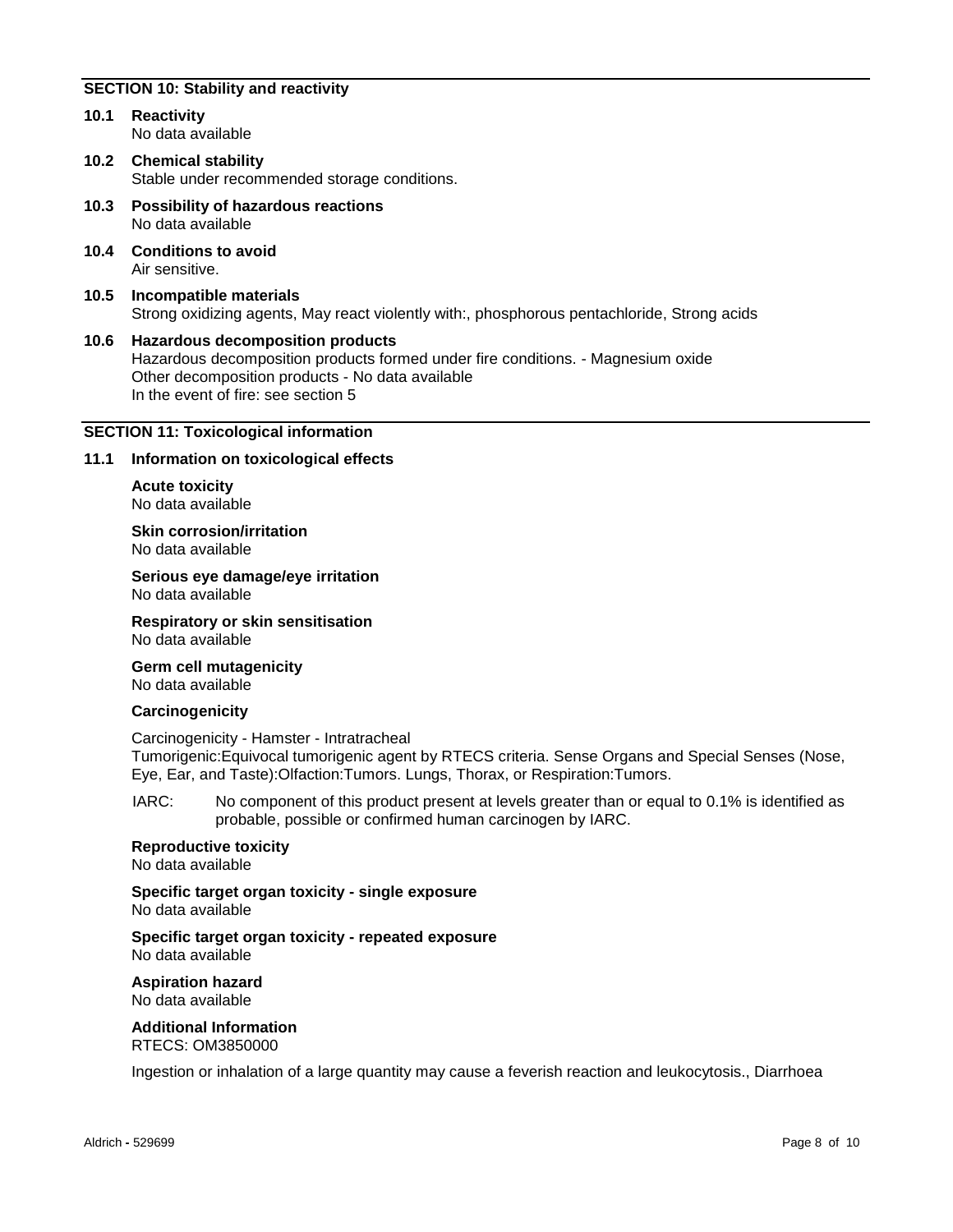# **SECTION 10: Stability and reactivity**

- **10.1 Reactivity** No data available
- **10.2 Chemical stability** Stable under recommended storage conditions.
- **10.3 Possibility of hazardous reactions** No data available
- **10.4 Conditions to avoid** Air sensitive.
- **10.5 Incompatible materials** Strong oxidizing agents, May react violently with:, phosphorous pentachloride, Strong acids
- **10.6 Hazardous decomposition products** Hazardous decomposition products formed under fire conditions. - Magnesium oxide Other decomposition products - No data available In the event of fire: see section 5

# **SECTION 11: Toxicological information**

## **11.1 Information on toxicological effects**

**Acute toxicity** No data available

**Skin corrosion/irritation** No data available

**Serious eye damage/eye irritation** No data available

**Respiratory or skin sensitisation** No data available

**Germ cell mutagenicity** No data available

## **Carcinogenicity**

Carcinogenicity - Hamster - Intratracheal Tumorigenic:Equivocal tumorigenic agent by RTECS criteria. Sense Organs and Special Senses (Nose, Eye, Ear, and Taste):Olfaction:Tumors. Lungs, Thorax, or Respiration:Tumors.

IARC: No component of this product present at levels greater than or equal to 0.1% is identified as probable, possible or confirmed human carcinogen by IARC.

**Reproductive toxicity** No data available

**Specific target organ toxicity - single exposure** No data available

**Specific target organ toxicity - repeated exposure** No data available

**Aspiration hazard** No data available

**Additional Information** RTECS: OM3850000

Ingestion or inhalation of a large quantity may cause a feverish reaction and leukocytosis., Diarrhoea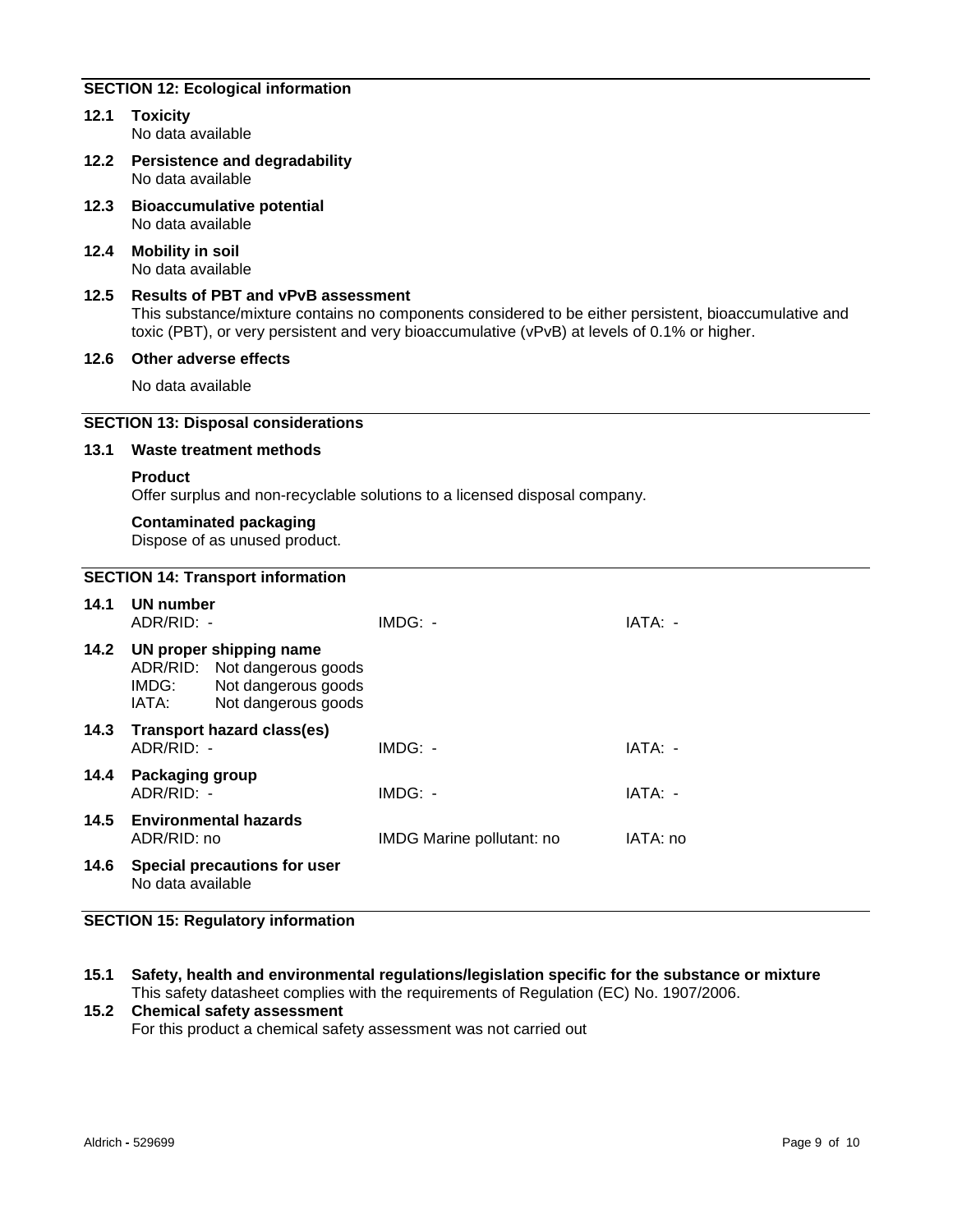# **SECTION 12: Ecological information**

- **12.1 Toxicity** No data available
- **12.2 Persistence and degradability** No data available
- **12.3 Bioaccumulative potential** No data available
- **12.4 Mobility in soil** No data available
- **12.5 Results of PBT and vPvB assessment** This substance/mixture contains no components considered to be either persistent, bioaccumulative and toxic (PBT), or very persistent and very bioaccumulative (vPvB) at levels of 0.1% or higher.
- **12.6 Other adverse effects**

No data available

# **SECTION 13: Disposal considerations**

#### **13.1 Waste treatment methods**

#### **Product**

Offer surplus and non-recyclable solutions to a licensed disposal company.

#### **Contaminated packaging**

Dispose of as unused product.

# **SECTION 14: Transport information**

| 14.1 | <b>UN number</b><br>ADR/RID: -            |                                                                                                            | $IMDG: -$                 | IATA: -  |
|------|-------------------------------------------|------------------------------------------------------------------------------------------------------------|---------------------------|----------|
|      | IMDG:<br>IATA:                            | 14.2 UN proper shipping name<br>ADR/RID: Not dangerous goods<br>Not dangerous goods<br>Not dangerous goods |                           |          |
| 14.3 | Transport hazard class(es)<br>ADR/RID: -  |                                                                                                            | $IMDG: -$                 | IATA: -  |
| 14.4 | <b>Packaging group</b><br>$ADR/RID: -$    |                                                                                                            | $IMDG: -$                 | IATA: -  |
|      | 14.5 Environmental hazards<br>ADR/RID: no |                                                                                                            | IMDG Marine pollutant: no | IATA: no |
| 14.6 | No data available                         | Special precautions for user                                                                               |                           |          |

## **SECTION 15: Regulatory information**

**15.1 Safety, health and environmental regulations/legislation specific for the substance or mixture** This safety datasheet complies with the requirements of Regulation (EC) No. 1907/2006.

#### **15.2 Chemical safety assessment**

For this product a chemical safety assessment was not carried out